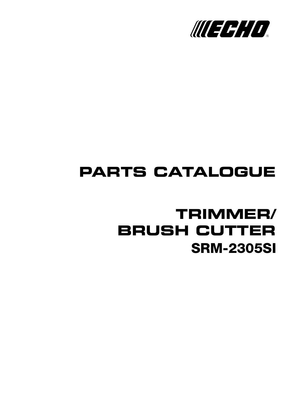

# **PARTS CATALOGUE**

## **SRM-2305SI TRIMMER/ BRUSH CUTTER**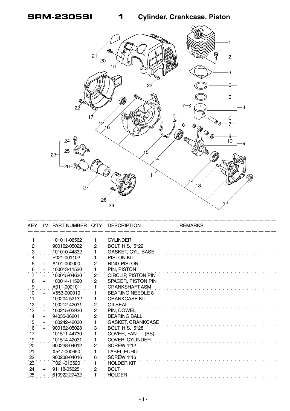**SRM-2305SI 1 Cylinder, Crankcase, Piston**



|                 |     | KEY LV PART NUMBER Q'TY |                       | <b>DESCRIPTION</b>         | <b>REMARKS</b> |
|-----------------|-----|-------------------------|-----------------------|----------------------------|----------------|
|                 |     |                         |                       |                            |                |
| 1               |     | 101011-06562            | 1.                    | <b>CYLINDER</b>            |                |
| $\overline{2}$  |     | 900162-05022            | $\mathbf{2}$          | BOLT, H.S. 5*22            |                |
| $\cdot$ 3       |     | 101010-44332            |                       | <b>GASKET, CYL. BASE</b>   |                |
| 4               |     | P021-001102             | 1                     | <b>PISTON KIT</b>          |                |
| $\overline{5}$  | $+$ | A101-000000             | $\overline{c}$        | RING, PISTON               |                |
| $\,6$           | $+$ | 100013-11520            | $\mathbf{1}$          | PIN, PISTON                |                |
| $\frac{1}{7}$   | $+$ | 100015-04630            | $\mathbf{2}$          | <b>CIRCLIP, PISTON PIN</b> |                |
| 8               | $+$ | 100014-11520            | $\overline{2}$        | SPACER, PISTON PIN         |                |
| $\ddot{\theta}$ |     | A011-000101             |                       | CRANKSHAFT, ASM            |                |
| 10              | $+$ | V553-000010             | 1                     | <b>BEARING, NEEDLE 8</b>   |                |
| 11              |     | 100204-52132            | 1                     | <b>CRANKCASE KIT</b>       |                |
| 12              | $+$ | 100212-42031            | $\overline{2}$        | <b>OILSEAL</b>             |                |
| 13              | $+$ | 100215-03930            | $\mathbf{2}^{\prime}$ | PIN, DOWEL                 |                |
| 14              | $+$ | 94035-36201             | $\overline{2}$        | <b>BEARING BALL</b>        |                |
| 15              | $+$ | 100242-42030            | 1                     | <b>GASKET, CRANKCASE</b>   |                |
| 16              | $+$ | 900162-05028            | 3                     | <b>BOLT, H.S. 5*28</b>     |                |
| 17              |     | 101511-44730            | 1                     | COVER, FAN<br>(BS)         |                |
| 19              |     | 101514-42031            | 1                     | <b>COVER, CYLINDER</b>     |                |
| 20              |     | 900238-04012            | $\mathbf{2}$          | <b>SCREW 4*12</b>          |                |
| 21              |     | X547-000650             | 1                     | LABEL, ECHO                |                |
|                 |     | 900238-04016            | 6                     | SCREW 4*16                 |                |
| $\frac{22}{23}$ |     | P021-013520             | 1.                    | <b>HOLDER KIT</b>          |                |
| 24              | $+$ | 91118-05025             | $\mathbf{2}$          | <b>BOLT</b>                |                |
| 25 <sub>1</sub> | $+$ | 610922-27432            |                       | <b>HOLDER</b>              |                |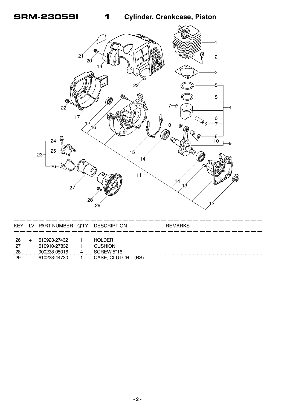1

**Cylinder, Crankcase, Piston** 



| <b>KEY</b>                   | LV PART NUMBER Q'TY                                          | <b>DESCRIPTION</b>                                                   | <b>REMARKS</b> |
|------------------------------|--------------------------------------------------------------|----------------------------------------------------------------------|----------------|
| -26<br>-27<br>$^{28}$<br>-29 | 610923-27432<br>610910-27832<br>900238-05016<br>610223-44730 | <b>HOLDER</b><br><b>CUSHION</b><br><b>SCREW 5*16</b><br>CASE, CLUTCH | (BS)           |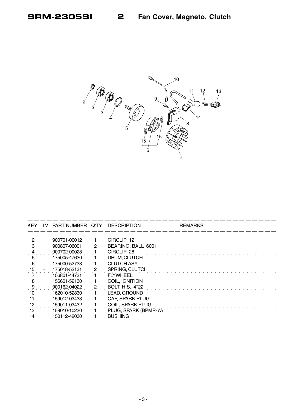

| <b>KEY</b> | LV. | PART NUMBER Q'TY |   | <b>DESCRIPTION</b>     | <b>REMARKS</b> |
|------------|-----|------------------|---|------------------------|----------------|
|            |     |                  |   |                        |                |
| 2          |     | 900701-00012     |   | CIRCLIP 12             |                |
|            |     | 900807-06001     | 2 | BEARING, BALL 6001     |                |
|            |     | 900702-00028     |   | CIRCLIP 28             |                |
| 5          |     | 175005-47630     |   | DRUM, CLUTCH           |                |
| 6          |     | 175000-52733     |   | <b>CLUTCH ASY</b>      |                |
| 15         |     | 175018-52131     | 2 | <b>SPRING, CLUTCH</b>  |                |
|            |     | 156801-44731     |   | <b>FLYWHEEL</b>        |                |
| 8          |     | 156601-52130     |   | <b>COIL, IGNITION</b>  |                |
| 9          |     | 900162-04022     | 2 | <b>BOLT, H.S. 4*22</b> |                |
| 10         |     | 162010-52830     |   | LEAD, GROUND           |                |
| 11         |     | 159012-03433     |   | CAP, SPARK PLUG        |                |
| 12         |     | 159011-03432     |   | COIL, SPARK PLUG       |                |
| 13         |     | 159010-10230     |   | PLUG, SPARK (BPMR-7A)  |                |
| 14         |     | 150112-42030     |   | <b>BUSHING</b>         |                |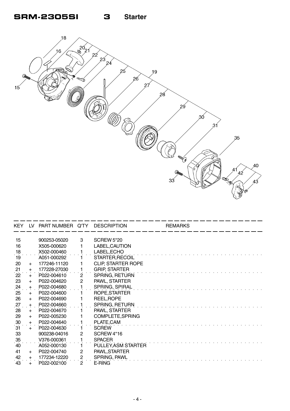

| KEY.         | LV.   | PART NUMBER Q'TY DESCRIPTION |                |                           | <b>REMARKS</b> |  |
|--------------|-------|------------------------------|----------------|---------------------------|----------------|--|
|              |       |                              |                |                           |                |  |
| 15           |       | 900253-05020                 | 3              | <b>SCREW 5*20</b>         |                |  |
| 16           |       | X505-000620                  |                | LABEL, CAUTION            |                |  |
| $^{18}$      |       | X502-000460                  |                | LABEL, ECHO               |                |  |
| 19           |       | A051-000292                  |                | STARTER, RECOIL           |                |  |
| 20           | $+$   | 177246-11120                 |                | <b>CLIP, STARTER ROPE</b> |                |  |
| 21           | $+$   | 177228-27030                 |                | <b>GRIP, STARTER</b>      |                |  |
| $22^{\circ}$ | $+$   | P022-004610                  | $\overline{2}$ | SPRING, RETURN            |                |  |
| 23           | $+$   | P022-004620                  | 2              | PAWL, STARTER             |                |  |
| $^{24}$      | $+$   | P022-004680                  |                | SPRING, SPIRAL            |                |  |
| 25           | $+$   | P022-004600                  |                | ROPE, STARTER             |                |  |
| 26           | $+$   | P022-004690                  |                | REEL, ROPE                |                |  |
| 27           | $+$   | P022-004660                  |                | SPRING, RETURN            |                |  |
| 28           | $+$   | P022-004670                  |                | PAWL, STARTER             |                |  |
| 29           | $+$   | P022-005230                  |                | COMPLETE, SPRING          |                |  |
| 30           | $+$   | P022-004640                  |                | PLATE, CAM                |                |  |
| 31           | $+$   | P022-004630                  |                | <b>SCREW</b>              |                |  |
| 33           |       | 900238-04016                 | 2              | <b>SCREW 4*16</b>         |                |  |
| 35           |       | V376-000361                  |                | <b>SPACER</b>             |                |  |
| $40^{-}$     |       | A052-000130                  |                | PULLEY, ASM STARTER       |                |  |
| 41           | $+$   | P022-004740                  | 2              | PAWL, STARTER             |                |  |
| 42           | $+$   | 177234-12220                 | 2              | SPRING, PAWL              |                |  |
| 43           | $\pm$ | P022-002100                  | 2              | E-RING                    |                |  |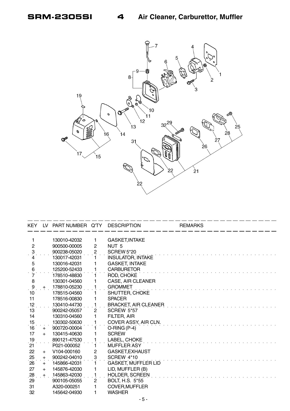

| KEY.                | LV. | PART NUMBER Q'TY DESCRIPTION |                |                             | <b>REMARKS</b> |  |
|---------------------|-----|------------------------------|----------------|-----------------------------|----------------|--|
|                     |     |                              |                |                             |                |  |
| 1                   |     | 130010-42032                 | 1              | <b>GASKET, INTAKE</b>       |                |  |
| $\overline{2}$      |     | 900500-00005                 | $\overline{c}$ | NUT <sub>5</sub>            |                |  |
| $\ddot{\mathbf{3}}$ |     | 900238-05020                 | $2 \cdot$      | <b>SCREW 5*20</b>           |                |  |
| 4                   |     | 130017-42031                 | $\mathbf{1}$   | <b>INSULATOR, INTAKE</b>    |                |  |
| 5                   |     | 130016-42031                 | 1              | <b>GASKET, INTAKE</b>       |                |  |
| $\frac{6}{7}$       |     | 125200-52433                 | 1              | <b>CARBURETOR</b>           |                |  |
|                     |     | 178510-48830                 | 1.             | ROD, CHOKE                  |                |  |
| 8                   |     | 130301-04560                 | 1              | <b>CASE, AIR CLEANER</b>    |                |  |
| $\cdot$ 9           | $+$ | 178810-05230                 | 1              | <b>GROMMET</b>              |                |  |
| 10                  |     | 178515-04560                 | 1              | SHUTTER, CHOKE              |                |  |
| 11                  |     | 178516-00830                 | 1              | <b>SPACER</b>               |                |  |
| 12                  |     | 130410-44730                 | $\mathbf{1}$   | <b>BRACKET, AIR CLEANER</b> |                |  |
| 13                  |     | 900242-05057                 | $\mathbf{2}$   | <b>SCREW 5*57</b>           |                |  |
| 14                  |     | 130310-04560                 | 1              | FILTER, AIR                 |                |  |
| 15                  |     | 130302-50630                 | 1              | COVER ASSY, AIR CLN.        |                |  |
| 16                  | $+$ | 900720-00004                 |                | $O-HING(P-4)$               |                |  |
| 17                  | $+$ | 130415-40630                 | 1              | <b>SCREW</b>                |                |  |
| 19                  |     | 890121-47530                 | 1              | LABEL, CHOKE                |                |  |
| 21                  |     | P021-000052                  | 1.             | MUFFLER ASY                 |                |  |
| 22                  | $+$ | V104-000160                  | $\overline{c}$ | GASKET, EXHAUST             |                |  |
| 25                  | $+$ | 900242-04010                 | 3              | <b>SCREW 4*10</b>           |                |  |
| 26                  | $+$ | 145866-42031                 | 1              | <b>GASKET, MUFFLER LID</b>  |                |  |
| 27                  | $+$ | 145876-42030                 | 1              | LID, MUFFLER (B)            |                |  |
| 28                  | $+$ | 145863-42030                 | 1              | <b>HOLDER, SCREEN</b>       |                |  |
| 29                  |     | 900105-05055                 | $\mathbf{2}$   | BOLT, H.S. 5*55             |                |  |
| 31                  |     | A320-000251                  | 1              | <b>COVER, MUFFLER</b>       |                |  |
| 32                  |     | 145642-04930                 | 1              | <b>WASHER</b>               |                |  |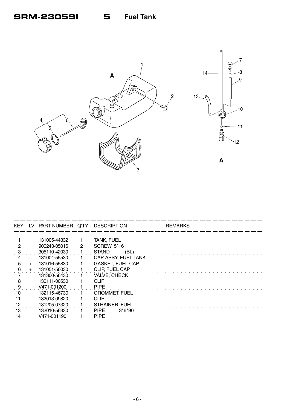

| KEY. | LV. | PART NUMBER Q'TY |   | DESCRIPTION             | <b>REMARKS</b> |
|------|-----|------------------|---|-------------------------|----------------|
|      |     |                  |   |                         |                |
|      |     | 131005-44332     |   | <b>TANK, FUEL</b>       |                |
|      |     | 900243-05016     | 2 | <b>SCREW 5*16</b>       |                |
|      |     | 305110-42030     |   | <b>STAND</b><br>(BL)    |                |
| 4    |     | 131004-55530     |   | CAP ASSY, FUEL TANK     |                |
| 5    | +   | 131016-55830     |   | <b>GASKET, FUEL CAP</b> |                |
| 6    | $+$ | 131051-56030     |   | CLIP, FUEL CAP          |                |
|      |     | 131300-56430     |   | VALVE, CHECK            |                |
| 8    |     | 130111-00530     |   | <b>CLIP</b>             |                |
| 9    |     | V471-001200      |   | <b>PIPE</b>             |                |
| 10   |     | 132115-46730     |   | <b>GROMMET, FUEL</b>    |                |
| 11   |     | 132013-09820     |   | <b>CLIP</b>             |                |
| 12   |     | 131205-07320     |   | <b>STRAINER, FUEL</b>   |                |
| 13   |     | 132010-56330     |   | <b>PIPE</b><br>$3*6*90$ |                |
| 14   |     | V471-001190      |   | <b>PIPE</b>             |                |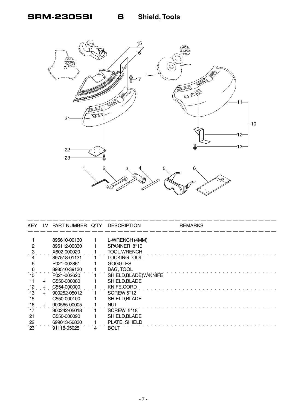

| <b>KEY</b> | l V            | PART NUMBER Q'TY | <b>DESCRIPTION</b>    | <b>REMARKS</b> |
|------------|----------------|------------------|-----------------------|----------------|
|            |                |                  |                       |                |
|            |                | 895610-00130     | L-WRENCH (4MM)        |                |
|            |                | 895112-00330     | SPANNER 8*10          |                |
|            |                | X602-000020      | <b>TOOL, WRENCH</b>   |                |
|            |                | 897518-01131     | LOCKING TOOL          |                |
| 5          |                | P021-002861      | <b>GOGGLES</b>        |                |
| 6          |                | 898510-39130     | <b>BAG, TOOL</b>      |                |
| 10         |                | P021-002620      | SHIELD, BLADE(W/KNIFE |                |
| 11         | $+$            | C550-000080      | SHIELD, BLADE         |                |
| 12         | $+$            | C554-000000      | KNIFE, CORD           |                |
| 13         | $\overline{+}$ | 900252-05012     | <b>SCREW 5*12</b>     |                |
| 15         |                | C550-000100      | SHIELD, BLADE         |                |
| 16         |                | 900565-00005     | NUT                   |                |
| 17         |                | 900242-05018     | <b>SCREW 5*18</b>     |                |
| 21         |                | C550-000090      | SHIELD, BLADE         |                |
| 22         |                | 699013-56830     | PLATE, SHIELD         |                |
| 23         |                | 91118-05025      | BOLT                  |                |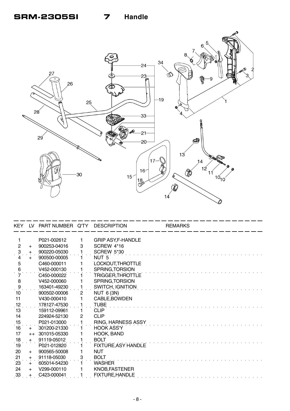

|                     |       | KEY LV PART NUMBER Q'TY DESCRIPTION |                      |                           | <b>REMARKS</b> |
|---------------------|-------|-------------------------------------|----------------------|---------------------------|----------------|
| 1                   |       | P021-002612                         | 1                    | <b>GRIP ASY, F-HANDLE</b> |                |
| $\overline{2}$      | $+$   | 900253-04016                        | 3                    | SCREW 4*16                |                |
| $\ddot{\mathrm{3}}$ | $+$   | 900220-05030                        |                      | <b>SCREW 5*30</b>         |                |
| 4                   | $+$   | 900500-00005                        |                      | NUT <sub>5</sub>          |                |
| $\overline{5}$      |       | C460-000011                         |                      | LOCKOUT, THROTTLE         |                |
| $\frac{6}{7}$       |       | V452-000130                         |                      | SPRING, TORSION           |                |
|                     |       | C450-000022                         |                      | TRIGGER, THROTTLE         |                |
| 8                   |       | V452-000060                         |                      | SPRING, TORSION           |                |
| $\ddot{\theta}$     |       | 163401-49230                        | 1                    | SWITCH, IGNITION          |                |
| 10                  |       | 900502-00006                        | $\mathbf{2}^{\circ}$ | <b>NUT 6 (3N)</b>         |                |
| 11                  |       | V430-000410                         |                      | CABLE, BOWDEN             |                |
| 12                  |       | 178127-47530                        |                      | <b>TUBE</b>               |                |
| 13                  |       | 159112-09961                        |                      | <b>CLIP</b>               |                |
| 14                  |       | 224924-52130                        | $\overline{2}$       | <b>CLIP</b>               |                |
| 15                  |       | P021-013000                         | $\mathbf{1}$         | RING, HARNESS ASSY        |                |
| 16                  | $+$   | 301200-21330                        |                      | HOOK ASS'Y                |                |
| 17                  |       | ++ 301015-05330                     |                      | HOOK, BAND                |                |
| 18                  | $+$   | 91119-05012                         |                      | <b>BOLT</b>               |                |
| $\overline{19}$     |       | P021-012820                         |                      | FIXTURE, ASY HANDLE       |                |
| 20                  | $+$   | 900565-50008                        |                      | <b>NUT</b>                |                |
| 21                  | $+$   | 91118-05030                         | 3                    | <b>BOLT</b>               |                |
| 23                  | $+$   | 605014-54230                        |                      | <b>WASHER</b>             |                |
| 24                  | $+$   | V299-000110                         |                      | KNOB, FASTENER            |                |
| 33                  | $\pm$ | C423-000041                         |                      | <b>FIXTURE, HANDLE</b>    |                |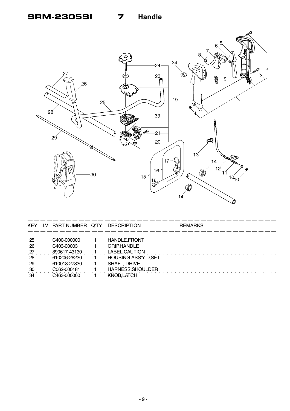### **SRM-2305SI 7 Handle**



| <b>KEY</b> | IV. | PART NUMBER Q'TY | <b>DESCRIPTION</b>           | <b>REMARKS</b> |
|------------|-----|------------------|------------------------------|----------------|
|            |     |                  |                              |                |
| -25        |     | C400-000000      | <b>HANDLE, FRONT</b>         |                |
| 26         |     | C403-000031      | <b>GRIP,HANDLE</b>           |                |
| 27         |     | 890617-43130     | LABEL, CAUTION               |                |
| 28         |     | 610206-28230     | <b>HOUSING ASS'Y D, SFT.</b> |                |
| -29        |     | 610018-27830     | <b>SHAFT, DRIVE</b>          |                |
| 30         |     | C062-000181      | HARNESS, SHOULDER            |                |
| 34         |     | C463-000000      | KNOB, LATCH                  |                |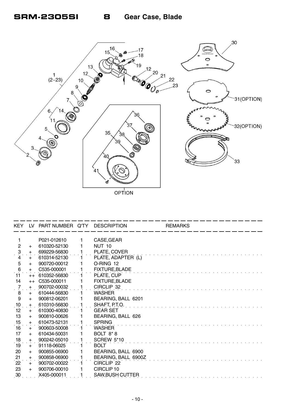

OPTION

|                   |       | KEY LV PART NUMBER Q'TY DESCRIPTION |                       | <b>REMARKS</b> |  |
|-------------------|-------|-------------------------------------|-----------------------|----------------|--|
|                   |       |                                     |                       |                |  |
|                   |       | P021-012610                         | CASE, GEAR            |                |  |
| $\overline{2}$    | $+$   | 610320-52130                        | <b>NUT 10</b>         |                |  |
| $\ddot{3}$        | $\pm$ | 699229-56830                        | PLATE, COVER          |                |  |
| 4                 | $+$   | 610314-52130                        | PLATE, ADAPTER (L)    |                |  |
| $\overline{5}$    | $+$   | 900720-00012                        | O-RING 12             |                |  |
| $\,6\,$<br>11     | $+$   | C535-000001                         | <b>FIXTURE, BLADE</b> |                |  |
|                   | $++$  | 610352-56830                        | PLATE, CUP            |                |  |
| 14                | $++$  | C535-000011                         | <b>FIXTURE, BLADE</b> |                |  |
| 7                 | $+$   | 900702-00032                        | CIRCLIP 32            |                |  |
| 8                 | $+$   | 610444-56830                        | <b>WASHER</b>         |                |  |
| 9                 | $+$   | 900812-06201                        | BEARING, BALL 6201    |                |  |
| .10               | $+$   | 610310-56830                        | SHAFT, P.T.O.         |                |  |
| $12 \overline{ }$ | $+$   | 610300-40830                        | <b>GEAR SET</b>       |                |  |
| 13                | $+$   | 900810-00626                        | BEARING, BALL 626     |                |  |
| 15                | $+$   | 610473-52131                        | <b>SPRING</b>         |                |  |
| 16                | $+$   | 900603-50008                        | <b>WASHER</b>         |                |  |
| 17                | $+$   | 610434-50031                        | BOLT 8*8              |                |  |
| 18                | $+$   | 900242-05010                        | <b>SCREW 5*10</b>     |                |  |
| 19                | $+$   | 91118-06025                         | <b>BOLT</b>           |                |  |
| 20                | $+$   | 900855-06900                        | BEARING, BALL 6900    |                |  |
| 21                | $+$   | 900858-06900                        | BEARING, BALL 6900Z   |                |  |
| $\overline{22}$   | $+$   | 900702-00022                        | CIRCLIP <sub>22</sub> |                |  |
| 23                | $+$   | 900706-00010                        | CIRCLIP <sub>10</sub> |                |  |
| 30 <sub>o</sub>   |       | X405-000011                         | SAW, BUSH CUTTER      |                |  |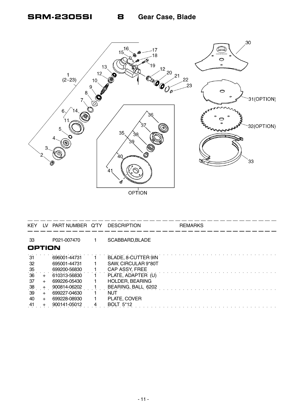

OPTION

| <b>KEY</b>     |     | LV PART NUMBER Q'TY DESCRIPTION |                        | <b>REMARKS</b> |
|----------------|-----|---------------------------------|------------------------|----------------|
| 33             |     | P021-007470                     | SCABBARD, BLADE        |                |
| <b>OPTION</b>  |     |                                 |                        |                |
| -31            |     | 696001-44731                    | BLADE, 8-CUTTER 9IN    |                |
| 32             |     | 695001-44731                    | SAW, CIRCULAR 9*80T    |                |
| 35             |     | 699200-56830                    | CAP ASSY, FREE         |                |
| 36             | $+$ | 610313-56830                    | PLATE, ADAPTER (U)     |                |
| 37             | $+$ | 699226-05430                    | <b>HOLDER, BEARING</b> |                |
| $\frac{38}{5}$ | $+$ | 900814-06202                    | BEARING, BALL 6202     |                |
| 39             | $+$ | 699227-04630                    | NUT                    |                |
| 40             | $+$ | 699228-08930                    | PLATE, COVER           |                |
| 41             | +   | 900141-05012                    | <b>BOLT 5*12</b>       |                |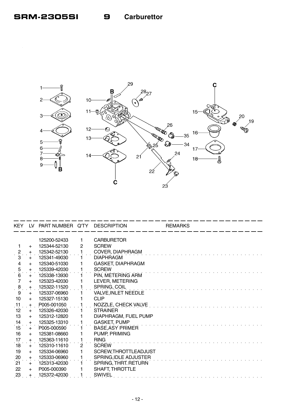

| KEY.                |                  | LV PART NUMBER Q'TY DESCRIPTION |                |                            | <b>REMARKS</b> |
|---------------------|------------------|---------------------------------|----------------|----------------------------|----------------|
|                     |                  | 125200-52433                    | 1              | <b>CARBURETOR</b>          |                |
| 1                   |                  | 125344-52130                    | 2              | <b>SCREW</b>               |                |
|                     | $\ddot{}$<br>$+$ | 125342-52130                    |                | COVER, DIAPHRAGM           |                |
| $\frac{2}{1}$<br>3  | $+$              | 125341-49030                    | 1.             | <b>DIAPHRAGM</b>           |                |
| $\overline{4}$      | $+$              | 125340-51030                    |                | <b>GASKET, DIAPHRAGM</b>   |                |
| 5                   | $+$              | 125339-42030                    |                | <b>SCREW</b>               |                |
| $\ddot{6}$          | $+$              | 125338-13930                    |                | PIN, METERING ARM          |                |
| $\overline{7}$      | $+$              | 125323-42030                    |                | LEVER, METERING            |                |
| $\ddot{\mathbf{8}}$ | $\ddot{}$        | 125322-11520                    |                | SPRING, COIL               |                |
| 9                   | $+$              | 125337-06960                    |                | <b>VALVE, INLET NEEDLE</b> |                |
| 10                  | $+$              | 125327-15130                    |                | <b>CLIP</b>                |                |
| $\overline{.11}$    | $+$              | P005-001050                     |                | NOZZLE, CHECK VALVE        |                |
| 12 <sup>2</sup>     | $+$              | 125326-42030                    |                | <b>STRAINER</b>            |                |
| 13                  | $+$              | 125312-12820                    |                | DIAPHRAGM, FUEL PUMP       |                |
| 14                  | $+$              | 125325-13310                    |                | <b>GASKET, PUMP</b>        |                |
| 15                  | $+$              | P005-000590                     |                | <b>BASE, ASY PRIMER</b>    |                |
| 16                  | $+$              | 125381-08660                    |                | PUMP, PRIMING              |                |
| 17                  | $+$              | 125363-11610                    |                | <b>RING</b>                |                |
| 18                  | $+$              | 125310-11610                    | $\overline{2}$ | <b>SCREW</b>               |                |
| 19                  | $+$              | 125334-06960                    |                | SCREW, THROTTLEADJUST      |                |
| 20                  | $+$              | 125333-06960                    |                | SPRING, IDLE ADJUSTER      |                |
| 21                  | $+$              | 125313-42030                    |                | SPRING, THRT. RETURN       |                |
| 22                  | $+$              | P005-000390                     |                | SHAFT, THROTTLE            |                |
| 23                  |                  | 125372-42030                    |                | <b>SWIVEL</b>              |                |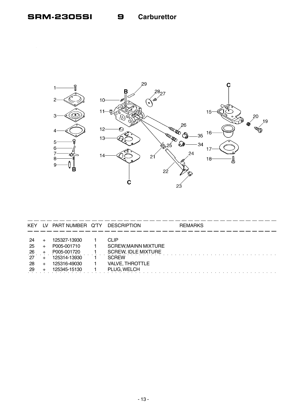9



| <b>KEY</b> | LV. | PART NUMBER Q'TY | <b>DESCRIPTION</b>          | <b>REMARKS</b> |
|------------|-----|------------------|-----------------------------|----------------|
|            |     |                  |                             |                |
| -24        |     | 125327-13930     | <b>CLIP</b>                 |                |
| 25         |     | P005-001710      | <b>SCREW, MAINN MIXTURE</b> |                |
| 26         |     | P005-001720      | <b>SCREW, IDLE MIXTURE</b>  |                |
| -27        |     | 125314-13930     | <b>SCREW</b>                |                |
| 28         |     | 125316-49030     | <b>VALVE, THROTTLE</b>      |                |
| -29        |     | 125345-15130     | PLUG, WELCH                 |                |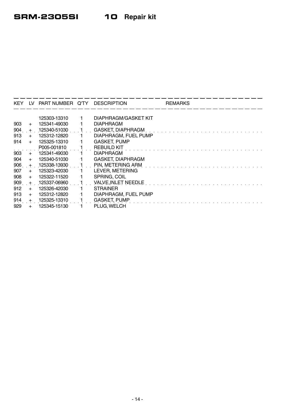- -

| <b>KEY</b> | LV. | PART NUMBER Q'TY DESCRIPTION |                            | <b>REMARKS</b> |
|------------|-----|------------------------------|----------------------------|----------------|
|            |     |                              |                            |                |
|            |     | 125303-13310                 | DIAPHRAGM/GASKET KIT       |                |
| 903        | $+$ | 125341-49030                 | <b>DIAPHRAGM</b>           |                |
| 904        | $+$ | 125340-51030                 | <b>GASKET, DIAPHRAGM</b>   |                |
| 913        | $+$ | 125312-12820                 | DIAPHRAGM, FUEL PUMP       |                |
| 914        | $+$ | 125325-13310                 | <b>GASKET, PUMP</b>        |                |
|            |     | P005-001810                  | <b>REBUILD KIT</b>         |                |
| 903        | $+$ | 125341-49030                 | <b>DIAPHRAGM</b>           |                |
| 904        | $+$ | 125340-51030                 | <b>GASKET, DIAPHRAGM</b>   |                |
| 906        | $+$ | 125338-13930                 | PIN, METERING ARM          |                |
| 907        | $+$ | 125323-42030                 | LEVER, METERING            |                |
| 908        | $+$ | 125322-11520                 | SPRING, COIL               |                |
| 909        | $+$ | 125337-06960                 | <b>VALVE, INLET NEEDLE</b> |                |
| 912        | $+$ | 125326-42030                 | <b>STRAINER</b>            |                |
| 913        | $+$ | 125312-12820                 | DIAPHRAGM, FUEL PUMP       |                |
| 914        | $+$ | 125325-13310                 | <b>GASKET, PUMP</b>        |                |
| 929        |     | 125345-15130                 | PLUG. WELCH                |                |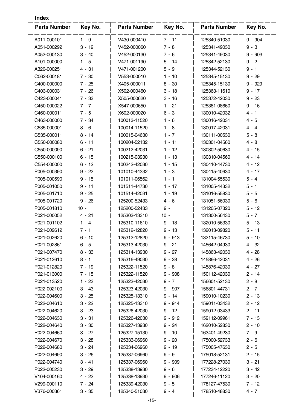| Key No.<br><b>Parts Number</b><br>Key No.<br><b>Parts Number</b><br>Key No.<br><b>Parts Number</b><br>$1 - 9$<br>$9 - 904$<br>A011-000101<br>V430-000410<br>$7 - 11$<br>125340-51030<br>A051-000292<br>$3 - 19$<br>V452-000060<br>$7 - 8$<br>$9 - 3$<br>125341-49030<br>A052-000130<br>$3 - 40$<br>V452-000130<br>$7 - 6$<br>125341-49030<br>$9 - 903$<br>A101-000000<br>$1 - 5$<br>V471-001190<br>125342-52130<br>$9 - 2$<br>$5 - 14$<br>$4 - 31$<br>V471-001200<br>$5 - 9$<br>A320-000251<br>125344-52130<br>$9 - 1$<br>C062-000181<br>$7 - 30$<br>V553-000010<br>125345-15130<br>$9 - 29$<br>$1 - 10$<br>C400-000000<br>$7 - 25$<br>X405-000011<br>$8 - 30$<br>125345-15130<br>$9 - 929$<br>C403-000031<br>$7 - 26$<br>X502-000460<br>$3 - 18$<br>125363-11610<br>$9 - 17$<br>C423-000041<br>$7 - 33$<br>X505-000620<br>$3 - 16$<br>125372-42030<br>$9 - 23$<br>X547-000650<br>$1 - 21$<br>$9 - 16$<br>C450-000022<br>$7 - 7$<br>125381-08660<br>C460-000011<br>X602-000020<br>$6 - 3$<br>130010-42032<br>$7 - 5$<br>4 - 1<br>C463-000000<br>$7 - 34$<br>$4 - 5$<br>100013-11520<br>$1 - 6$<br>130016-42031<br>C535-000001<br>$8 - 6$<br>100014-11520<br>$1 - 8$<br>130017-42031<br>$4 - 4$<br>C535-000011<br>$8 - 14$<br>100015-04630<br>$1 - 7$<br>130111-00530<br>$5 - 8$<br>C550-000080<br>100204-52132<br>130301-04560<br>$6 - 11$<br>$1 - 11$<br>$4 - 8$<br>C550-000090<br>$6 - 21$<br>100212-42031<br>$1 - 12$<br>130302-50630<br>$4 - 15$<br>C550-000100<br>100215-03930<br>$1 - 13$<br>130310-04560<br>$6 - 15$<br>4 - 14<br>C554-000000<br>$6 - 12$<br>100242-42030<br>1 - 15<br>130410-44730<br>4 - 12<br>P005-000390<br>$9 - 22$<br>101010-44332<br>$1 - 3$<br>130415-40630<br>$4 - 17$<br>101011-06562<br>$1 - 1$<br>131004-55530<br>$5 - 4$<br>P005-000590<br>$9 - 15$<br>P005-001050<br>$9 - 11$<br>101511-44730<br>1 - 17<br>131005-44332<br>5 - 1<br>131016-55830<br>P005-001710<br>$9 - 25$<br>101514-42031<br>1 - 19<br>$5 - 5$<br>P005-001720<br>$9 - 26$<br>125200-52433<br>131051-56030<br>$4 - 6$<br>$5 - 6$<br>$10 -$<br>125200-52433<br>131205-07320<br>P005-001810<br>9 -<br>5 - 12<br>125303-13310<br>$10 -$<br>P021-000052<br>4 - 21<br>131300-56430<br>$5 - 7$<br>125310-11610<br>132010-56330<br>P021-001102<br>1 - 4<br>$9 - 18$<br>$5 - 13$<br>$7 - 1$<br>125312-12820<br>132013-09820<br>P021-002612<br>$9 - 13$<br>$5 - 11$<br>$6 - 10$<br>$9 - 913$<br>P021-002620<br>125312-12820<br>132115-46730<br>$5 - 10$<br>P021-002861<br>$6 - 5$<br>$9 - 21$<br>125313-42030<br>145642-04930<br>4 - 32<br>$8 - 33$<br>125314-13930<br>$4 - 28$<br>P021-007470<br>$9 - 27$<br>145863-42030<br>$8 - 1$<br>$9 - 28$<br>P021-012610<br>125316-49030<br>145866-42031<br>$4 - 26$<br>$7 - 19$<br>$9 - 8$<br>$4 - 27$<br>P021-012820<br>125322-11520<br>145876-42030<br>P021-013000<br>$9 - 908$<br>150112-42030<br>$2 - 14$<br>7 - 15<br>125322-11520<br>$1 - 23$<br>125323-42030<br>$9 - 7$<br>$2 - 8$<br>P021-013520<br>156601-52130<br>P022-002100<br>$3 - 43$<br>$2 - 7$<br>125323-42030<br>$9 - 907$<br>156801-44731<br>$3 - 25$<br>$9 - 14$<br>P022-004600<br>125325-13310<br>159010-10230<br>$2 - 13$<br>P022-004610<br>$3 - 22$<br>125325-13310<br>159011-03432<br>9 - 914<br>$2 - 12$<br>P022-004620<br>$3 - 23$<br>125326-42030<br>$9 - 12$<br>159012-03433<br>2 - 11<br>P022-004630<br>$3 - 31$<br>$9 - 912$<br>159112-09961<br>$7 - 13$<br>125326-42030<br>P022-004640<br>$3 - 30$<br>$9 - 24$<br>162010-52830<br>$2 - 10$<br>125327-13930<br>P022-004660<br>$3 - 27$<br>125327-15130<br>$9 - 10$<br>163401-49230<br>$7 - 9$<br>P022-004670<br>$3 - 28$<br>$9 - 20$<br>175000-52733<br>125333-06960<br>$2 - 6$<br>P022-004680<br>$3 - 24$<br>125334-06960<br>$9 - 19$<br>175005-47630<br>$2 - 5$<br>P022-004690<br>$3 - 26$<br>125337-06960<br>$9 - 9$<br>175018-52131<br>2 - 15<br>P022-004740<br>125337-06960<br>$9 - 909$<br>177228-27030<br>$3 - 41$<br>3 - 21<br>P022-005230<br>$3 - 29$<br>$9 - 6$<br>177234-12220<br>125338-13930<br>3 - 42<br>V104-000160<br>$4 - 22$<br>$9 - 906$<br>177246-11120<br>125338-13930<br>$3 - 20$<br>V299-000110<br>$7 - 24$<br>$9 - 5$<br>178127-47530<br>125339-42030<br>7 - 12<br>V376-000361<br>125340-51030<br>178510-48830<br>$4 - 7$<br>$3 - 35$<br>$9 - 4$ | <b>Index</b> |  |  |  |  |
|---------------------------------------------------------------------------------------------------------------------------------------------------------------------------------------------------------------------------------------------------------------------------------------------------------------------------------------------------------------------------------------------------------------------------------------------------------------------------------------------------------------------------------------------------------------------------------------------------------------------------------------------------------------------------------------------------------------------------------------------------------------------------------------------------------------------------------------------------------------------------------------------------------------------------------------------------------------------------------------------------------------------------------------------------------------------------------------------------------------------------------------------------------------------------------------------------------------------------------------------------------------------------------------------------------------------------------------------------------------------------------------------------------------------------------------------------------------------------------------------------------------------------------------------------------------------------------------------------------------------------------------------------------------------------------------------------------------------------------------------------------------------------------------------------------------------------------------------------------------------------------------------------------------------------------------------------------------------------------------------------------------------------------------------------------------------------------------------------------------------------------------------------------------------------------------------------------------------------------------------------------------------------------------------------------------------------------------------------------------------------------------------------------------------------------------------------------------------------------------------------------------------------------------------------------------------------------------------------------------------------------------------------------------------------------------------------------------------------------------------------------------------------------------------------------------------------------------------------------------------------------------------------------------------------------------------------------------------------------------------------------------------------------------------------------------------------------------------------------------------------------------------------------------------------------------------------------------------------------------------------------------------------------------------------------------------------------------------------------------------------------------------------------------------------------------------------------------------------------------------------------------------------------------------------------------------------------------------------------------------------------------------------------------------------------------------------------------------------------------------------------------------------------------------------------------------------------------------------------------------------------------------------------------------------------------------------------------------------------------------------------------------------------------------------------------------------------------------------------------------------------------------------------------------------------------------------------------------------------------------|--------------|--|--|--|--|
|                                                                                                                                                                                                                                                                                                                                                                                                                                                                                                                                                                                                                                                                                                                                                                                                                                                                                                                                                                                                                                                                                                                                                                                                                                                                                                                                                                                                                                                                                                                                                                                                                                                                                                                                                                                                                                                                                                                                                                                                                                                                                                                                                                                                                                                                                                                                                                                                                                                                                                                                                                                                                                                                                                                                                                                                                                                                                                                                                                                                                                                                                                                                                                                                                                                                                                                                                                                                                                                                                                                                                                                                                                                                                                                                                                                                                                                                                                                                                                                                                                                                                                                                                                                                                                             |              |  |  |  |  |
|                                                                                                                                                                                                                                                                                                                                                                                                                                                                                                                                                                                                                                                                                                                                                                                                                                                                                                                                                                                                                                                                                                                                                                                                                                                                                                                                                                                                                                                                                                                                                                                                                                                                                                                                                                                                                                                                                                                                                                                                                                                                                                                                                                                                                                                                                                                                                                                                                                                                                                                                                                                                                                                                                                                                                                                                                                                                                                                                                                                                                                                                                                                                                                                                                                                                                                                                                                                                                                                                                                                                                                                                                                                                                                                                                                                                                                                                                                                                                                                                                                                                                                                                                                                                                                             |              |  |  |  |  |
|                                                                                                                                                                                                                                                                                                                                                                                                                                                                                                                                                                                                                                                                                                                                                                                                                                                                                                                                                                                                                                                                                                                                                                                                                                                                                                                                                                                                                                                                                                                                                                                                                                                                                                                                                                                                                                                                                                                                                                                                                                                                                                                                                                                                                                                                                                                                                                                                                                                                                                                                                                                                                                                                                                                                                                                                                                                                                                                                                                                                                                                                                                                                                                                                                                                                                                                                                                                                                                                                                                                                                                                                                                                                                                                                                                                                                                                                                                                                                                                                                                                                                                                                                                                                                                             |              |  |  |  |  |
|                                                                                                                                                                                                                                                                                                                                                                                                                                                                                                                                                                                                                                                                                                                                                                                                                                                                                                                                                                                                                                                                                                                                                                                                                                                                                                                                                                                                                                                                                                                                                                                                                                                                                                                                                                                                                                                                                                                                                                                                                                                                                                                                                                                                                                                                                                                                                                                                                                                                                                                                                                                                                                                                                                                                                                                                                                                                                                                                                                                                                                                                                                                                                                                                                                                                                                                                                                                                                                                                                                                                                                                                                                                                                                                                                                                                                                                                                                                                                                                                                                                                                                                                                                                                                                             |              |  |  |  |  |
|                                                                                                                                                                                                                                                                                                                                                                                                                                                                                                                                                                                                                                                                                                                                                                                                                                                                                                                                                                                                                                                                                                                                                                                                                                                                                                                                                                                                                                                                                                                                                                                                                                                                                                                                                                                                                                                                                                                                                                                                                                                                                                                                                                                                                                                                                                                                                                                                                                                                                                                                                                                                                                                                                                                                                                                                                                                                                                                                                                                                                                                                                                                                                                                                                                                                                                                                                                                                                                                                                                                                                                                                                                                                                                                                                                                                                                                                                                                                                                                                                                                                                                                                                                                                                                             |              |  |  |  |  |
|                                                                                                                                                                                                                                                                                                                                                                                                                                                                                                                                                                                                                                                                                                                                                                                                                                                                                                                                                                                                                                                                                                                                                                                                                                                                                                                                                                                                                                                                                                                                                                                                                                                                                                                                                                                                                                                                                                                                                                                                                                                                                                                                                                                                                                                                                                                                                                                                                                                                                                                                                                                                                                                                                                                                                                                                                                                                                                                                                                                                                                                                                                                                                                                                                                                                                                                                                                                                                                                                                                                                                                                                                                                                                                                                                                                                                                                                                                                                                                                                                                                                                                                                                                                                                                             |              |  |  |  |  |
|                                                                                                                                                                                                                                                                                                                                                                                                                                                                                                                                                                                                                                                                                                                                                                                                                                                                                                                                                                                                                                                                                                                                                                                                                                                                                                                                                                                                                                                                                                                                                                                                                                                                                                                                                                                                                                                                                                                                                                                                                                                                                                                                                                                                                                                                                                                                                                                                                                                                                                                                                                                                                                                                                                                                                                                                                                                                                                                                                                                                                                                                                                                                                                                                                                                                                                                                                                                                                                                                                                                                                                                                                                                                                                                                                                                                                                                                                                                                                                                                                                                                                                                                                                                                                                             |              |  |  |  |  |
|                                                                                                                                                                                                                                                                                                                                                                                                                                                                                                                                                                                                                                                                                                                                                                                                                                                                                                                                                                                                                                                                                                                                                                                                                                                                                                                                                                                                                                                                                                                                                                                                                                                                                                                                                                                                                                                                                                                                                                                                                                                                                                                                                                                                                                                                                                                                                                                                                                                                                                                                                                                                                                                                                                                                                                                                                                                                                                                                                                                                                                                                                                                                                                                                                                                                                                                                                                                                                                                                                                                                                                                                                                                                                                                                                                                                                                                                                                                                                                                                                                                                                                                                                                                                                                             |              |  |  |  |  |
|                                                                                                                                                                                                                                                                                                                                                                                                                                                                                                                                                                                                                                                                                                                                                                                                                                                                                                                                                                                                                                                                                                                                                                                                                                                                                                                                                                                                                                                                                                                                                                                                                                                                                                                                                                                                                                                                                                                                                                                                                                                                                                                                                                                                                                                                                                                                                                                                                                                                                                                                                                                                                                                                                                                                                                                                                                                                                                                                                                                                                                                                                                                                                                                                                                                                                                                                                                                                                                                                                                                                                                                                                                                                                                                                                                                                                                                                                                                                                                                                                                                                                                                                                                                                                                             |              |  |  |  |  |
|                                                                                                                                                                                                                                                                                                                                                                                                                                                                                                                                                                                                                                                                                                                                                                                                                                                                                                                                                                                                                                                                                                                                                                                                                                                                                                                                                                                                                                                                                                                                                                                                                                                                                                                                                                                                                                                                                                                                                                                                                                                                                                                                                                                                                                                                                                                                                                                                                                                                                                                                                                                                                                                                                                                                                                                                                                                                                                                                                                                                                                                                                                                                                                                                                                                                                                                                                                                                                                                                                                                                                                                                                                                                                                                                                                                                                                                                                                                                                                                                                                                                                                                                                                                                                                             |              |  |  |  |  |
|                                                                                                                                                                                                                                                                                                                                                                                                                                                                                                                                                                                                                                                                                                                                                                                                                                                                                                                                                                                                                                                                                                                                                                                                                                                                                                                                                                                                                                                                                                                                                                                                                                                                                                                                                                                                                                                                                                                                                                                                                                                                                                                                                                                                                                                                                                                                                                                                                                                                                                                                                                                                                                                                                                                                                                                                                                                                                                                                                                                                                                                                                                                                                                                                                                                                                                                                                                                                                                                                                                                                                                                                                                                                                                                                                                                                                                                                                                                                                                                                                                                                                                                                                                                                                                             |              |  |  |  |  |
|                                                                                                                                                                                                                                                                                                                                                                                                                                                                                                                                                                                                                                                                                                                                                                                                                                                                                                                                                                                                                                                                                                                                                                                                                                                                                                                                                                                                                                                                                                                                                                                                                                                                                                                                                                                                                                                                                                                                                                                                                                                                                                                                                                                                                                                                                                                                                                                                                                                                                                                                                                                                                                                                                                                                                                                                                                                                                                                                                                                                                                                                                                                                                                                                                                                                                                                                                                                                                                                                                                                                                                                                                                                                                                                                                                                                                                                                                                                                                                                                                                                                                                                                                                                                                                             |              |  |  |  |  |
|                                                                                                                                                                                                                                                                                                                                                                                                                                                                                                                                                                                                                                                                                                                                                                                                                                                                                                                                                                                                                                                                                                                                                                                                                                                                                                                                                                                                                                                                                                                                                                                                                                                                                                                                                                                                                                                                                                                                                                                                                                                                                                                                                                                                                                                                                                                                                                                                                                                                                                                                                                                                                                                                                                                                                                                                                                                                                                                                                                                                                                                                                                                                                                                                                                                                                                                                                                                                                                                                                                                                                                                                                                                                                                                                                                                                                                                                                                                                                                                                                                                                                                                                                                                                                                             |              |  |  |  |  |
|                                                                                                                                                                                                                                                                                                                                                                                                                                                                                                                                                                                                                                                                                                                                                                                                                                                                                                                                                                                                                                                                                                                                                                                                                                                                                                                                                                                                                                                                                                                                                                                                                                                                                                                                                                                                                                                                                                                                                                                                                                                                                                                                                                                                                                                                                                                                                                                                                                                                                                                                                                                                                                                                                                                                                                                                                                                                                                                                                                                                                                                                                                                                                                                                                                                                                                                                                                                                                                                                                                                                                                                                                                                                                                                                                                                                                                                                                                                                                                                                                                                                                                                                                                                                                                             |              |  |  |  |  |
|                                                                                                                                                                                                                                                                                                                                                                                                                                                                                                                                                                                                                                                                                                                                                                                                                                                                                                                                                                                                                                                                                                                                                                                                                                                                                                                                                                                                                                                                                                                                                                                                                                                                                                                                                                                                                                                                                                                                                                                                                                                                                                                                                                                                                                                                                                                                                                                                                                                                                                                                                                                                                                                                                                                                                                                                                                                                                                                                                                                                                                                                                                                                                                                                                                                                                                                                                                                                                                                                                                                                                                                                                                                                                                                                                                                                                                                                                                                                                                                                                                                                                                                                                                                                                                             |              |  |  |  |  |
|                                                                                                                                                                                                                                                                                                                                                                                                                                                                                                                                                                                                                                                                                                                                                                                                                                                                                                                                                                                                                                                                                                                                                                                                                                                                                                                                                                                                                                                                                                                                                                                                                                                                                                                                                                                                                                                                                                                                                                                                                                                                                                                                                                                                                                                                                                                                                                                                                                                                                                                                                                                                                                                                                                                                                                                                                                                                                                                                                                                                                                                                                                                                                                                                                                                                                                                                                                                                                                                                                                                                                                                                                                                                                                                                                                                                                                                                                                                                                                                                                                                                                                                                                                                                                                             |              |  |  |  |  |
|                                                                                                                                                                                                                                                                                                                                                                                                                                                                                                                                                                                                                                                                                                                                                                                                                                                                                                                                                                                                                                                                                                                                                                                                                                                                                                                                                                                                                                                                                                                                                                                                                                                                                                                                                                                                                                                                                                                                                                                                                                                                                                                                                                                                                                                                                                                                                                                                                                                                                                                                                                                                                                                                                                                                                                                                                                                                                                                                                                                                                                                                                                                                                                                                                                                                                                                                                                                                                                                                                                                                                                                                                                                                                                                                                                                                                                                                                                                                                                                                                                                                                                                                                                                                                                             |              |  |  |  |  |
|                                                                                                                                                                                                                                                                                                                                                                                                                                                                                                                                                                                                                                                                                                                                                                                                                                                                                                                                                                                                                                                                                                                                                                                                                                                                                                                                                                                                                                                                                                                                                                                                                                                                                                                                                                                                                                                                                                                                                                                                                                                                                                                                                                                                                                                                                                                                                                                                                                                                                                                                                                                                                                                                                                                                                                                                                                                                                                                                                                                                                                                                                                                                                                                                                                                                                                                                                                                                                                                                                                                                                                                                                                                                                                                                                                                                                                                                                                                                                                                                                                                                                                                                                                                                                                             |              |  |  |  |  |
|                                                                                                                                                                                                                                                                                                                                                                                                                                                                                                                                                                                                                                                                                                                                                                                                                                                                                                                                                                                                                                                                                                                                                                                                                                                                                                                                                                                                                                                                                                                                                                                                                                                                                                                                                                                                                                                                                                                                                                                                                                                                                                                                                                                                                                                                                                                                                                                                                                                                                                                                                                                                                                                                                                                                                                                                                                                                                                                                                                                                                                                                                                                                                                                                                                                                                                                                                                                                                                                                                                                                                                                                                                                                                                                                                                                                                                                                                                                                                                                                                                                                                                                                                                                                                                             |              |  |  |  |  |
|                                                                                                                                                                                                                                                                                                                                                                                                                                                                                                                                                                                                                                                                                                                                                                                                                                                                                                                                                                                                                                                                                                                                                                                                                                                                                                                                                                                                                                                                                                                                                                                                                                                                                                                                                                                                                                                                                                                                                                                                                                                                                                                                                                                                                                                                                                                                                                                                                                                                                                                                                                                                                                                                                                                                                                                                                                                                                                                                                                                                                                                                                                                                                                                                                                                                                                                                                                                                                                                                                                                                                                                                                                                                                                                                                                                                                                                                                                                                                                                                                                                                                                                                                                                                                                             |              |  |  |  |  |
|                                                                                                                                                                                                                                                                                                                                                                                                                                                                                                                                                                                                                                                                                                                                                                                                                                                                                                                                                                                                                                                                                                                                                                                                                                                                                                                                                                                                                                                                                                                                                                                                                                                                                                                                                                                                                                                                                                                                                                                                                                                                                                                                                                                                                                                                                                                                                                                                                                                                                                                                                                                                                                                                                                                                                                                                                                                                                                                                                                                                                                                                                                                                                                                                                                                                                                                                                                                                                                                                                                                                                                                                                                                                                                                                                                                                                                                                                                                                                                                                                                                                                                                                                                                                                                             |              |  |  |  |  |
|                                                                                                                                                                                                                                                                                                                                                                                                                                                                                                                                                                                                                                                                                                                                                                                                                                                                                                                                                                                                                                                                                                                                                                                                                                                                                                                                                                                                                                                                                                                                                                                                                                                                                                                                                                                                                                                                                                                                                                                                                                                                                                                                                                                                                                                                                                                                                                                                                                                                                                                                                                                                                                                                                                                                                                                                                                                                                                                                                                                                                                                                                                                                                                                                                                                                                                                                                                                                                                                                                                                                                                                                                                                                                                                                                                                                                                                                                                                                                                                                                                                                                                                                                                                                                                             |              |  |  |  |  |
|                                                                                                                                                                                                                                                                                                                                                                                                                                                                                                                                                                                                                                                                                                                                                                                                                                                                                                                                                                                                                                                                                                                                                                                                                                                                                                                                                                                                                                                                                                                                                                                                                                                                                                                                                                                                                                                                                                                                                                                                                                                                                                                                                                                                                                                                                                                                                                                                                                                                                                                                                                                                                                                                                                                                                                                                                                                                                                                                                                                                                                                                                                                                                                                                                                                                                                                                                                                                                                                                                                                                                                                                                                                                                                                                                                                                                                                                                                                                                                                                                                                                                                                                                                                                                                             |              |  |  |  |  |
|                                                                                                                                                                                                                                                                                                                                                                                                                                                                                                                                                                                                                                                                                                                                                                                                                                                                                                                                                                                                                                                                                                                                                                                                                                                                                                                                                                                                                                                                                                                                                                                                                                                                                                                                                                                                                                                                                                                                                                                                                                                                                                                                                                                                                                                                                                                                                                                                                                                                                                                                                                                                                                                                                                                                                                                                                                                                                                                                                                                                                                                                                                                                                                                                                                                                                                                                                                                                                                                                                                                                                                                                                                                                                                                                                                                                                                                                                                                                                                                                                                                                                                                                                                                                                                             |              |  |  |  |  |
|                                                                                                                                                                                                                                                                                                                                                                                                                                                                                                                                                                                                                                                                                                                                                                                                                                                                                                                                                                                                                                                                                                                                                                                                                                                                                                                                                                                                                                                                                                                                                                                                                                                                                                                                                                                                                                                                                                                                                                                                                                                                                                                                                                                                                                                                                                                                                                                                                                                                                                                                                                                                                                                                                                                                                                                                                                                                                                                                                                                                                                                                                                                                                                                                                                                                                                                                                                                                                                                                                                                                                                                                                                                                                                                                                                                                                                                                                                                                                                                                                                                                                                                                                                                                                                             |              |  |  |  |  |
|                                                                                                                                                                                                                                                                                                                                                                                                                                                                                                                                                                                                                                                                                                                                                                                                                                                                                                                                                                                                                                                                                                                                                                                                                                                                                                                                                                                                                                                                                                                                                                                                                                                                                                                                                                                                                                                                                                                                                                                                                                                                                                                                                                                                                                                                                                                                                                                                                                                                                                                                                                                                                                                                                                                                                                                                                                                                                                                                                                                                                                                                                                                                                                                                                                                                                                                                                                                                                                                                                                                                                                                                                                                                                                                                                                                                                                                                                                                                                                                                                                                                                                                                                                                                                                             |              |  |  |  |  |
|                                                                                                                                                                                                                                                                                                                                                                                                                                                                                                                                                                                                                                                                                                                                                                                                                                                                                                                                                                                                                                                                                                                                                                                                                                                                                                                                                                                                                                                                                                                                                                                                                                                                                                                                                                                                                                                                                                                                                                                                                                                                                                                                                                                                                                                                                                                                                                                                                                                                                                                                                                                                                                                                                                                                                                                                                                                                                                                                                                                                                                                                                                                                                                                                                                                                                                                                                                                                                                                                                                                                                                                                                                                                                                                                                                                                                                                                                                                                                                                                                                                                                                                                                                                                                                             |              |  |  |  |  |
|                                                                                                                                                                                                                                                                                                                                                                                                                                                                                                                                                                                                                                                                                                                                                                                                                                                                                                                                                                                                                                                                                                                                                                                                                                                                                                                                                                                                                                                                                                                                                                                                                                                                                                                                                                                                                                                                                                                                                                                                                                                                                                                                                                                                                                                                                                                                                                                                                                                                                                                                                                                                                                                                                                                                                                                                                                                                                                                                                                                                                                                                                                                                                                                                                                                                                                                                                                                                                                                                                                                                                                                                                                                                                                                                                                                                                                                                                                                                                                                                                                                                                                                                                                                                                                             |              |  |  |  |  |
|                                                                                                                                                                                                                                                                                                                                                                                                                                                                                                                                                                                                                                                                                                                                                                                                                                                                                                                                                                                                                                                                                                                                                                                                                                                                                                                                                                                                                                                                                                                                                                                                                                                                                                                                                                                                                                                                                                                                                                                                                                                                                                                                                                                                                                                                                                                                                                                                                                                                                                                                                                                                                                                                                                                                                                                                                                                                                                                                                                                                                                                                                                                                                                                                                                                                                                                                                                                                                                                                                                                                                                                                                                                                                                                                                                                                                                                                                                                                                                                                                                                                                                                                                                                                                                             |              |  |  |  |  |
|                                                                                                                                                                                                                                                                                                                                                                                                                                                                                                                                                                                                                                                                                                                                                                                                                                                                                                                                                                                                                                                                                                                                                                                                                                                                                                                                                                                                                                                                                                                                                                                                                                                                                                                                                                                                                                                                                                                                                                                                                                                                                                                                                                                                                                                                                                                                                                                                                                                                                                                                                                                                                                                                                                                                                                                                                                                                                                                                                                                                                                                                                                                                                                                                                                                                                                                                                                                                                                                                                                                                                                                                                                                                                                                                                                                                                                                                                                                                                                                                                                                                                                                                                                                                                                             |              |  |  |  |  |
|                                                                                                                                                                                                                                                                                                                                                                                                                                                                                                                                                                                                                                                                                                                                                                                                                                                                                                                                                                                                                                                                                                                                                                                                                                                                                                                                                                                                                                                                                                                                                                                                                                                                                                                                                                                                                                                                                                                                                                                                                                                                                                                                                                                                                                                                                                                                                                                                                                                                                                                                                                                                                                                                                                                                                                                                                                                                                                                                                                                                                                                                                                                                                                                                                                                                                                                                                                                                                                                                                                                                                                                                                                                                                                                                                                                                                                                                                                                                                                                                                                                                                                                                                                                                                                             |              |  |  |  |  |
|                                                                                                                                                                                                                                                                                                                                                                                                                                                                                                                                                                                                                                                                                                                                                                                                                                                                                                                                                                                                                                                                                                                                                                                                                                                                                                                                                                                                                                                                                                                                                                                                                                                                                                                                                                                                                                                                                                                                                                                                                                                                                                                                                                                                                                                                                                                                                                                                                                                                                                                                                                                                                                                                                                                                                                                                                                                                                                                                                                                                                                                                                                                                                                                                                                                                                                                                                                                                                                                                                                                                                                                                                                                                                                                                                                                                                                                                                                                                                                                                                                                                                                                                                                                                                                             |              |  |  |  |  |
|                                                                                                                                                                                                                                                                                                                                                                                                                                                                                                                                                                                                                                                                                                                                                                                                                                                                                                                                                                                                                                                                                                                                                                                                                                                                                                                                                                                                                                                                                                                                                                                                                                                                                                                                                                                                                                                                                                                                                                                                                                                                                                                                                                                                                                                                                                                                                                                                                                                                                                                                                                                                                                                                                                                                                                                                                                                                                                                                                                                                                                                                                                                                                                                                                                                                                                                                                                                                                                                                                                                                                                                                                                                                                                                                                                                                                                                                                                                                                                                                                                                                                                                                                                                                                                             |              |  |  |  |  |
|                                                                                                                                                                                                                                                                                                                                                                                                                                                                                                                                                                                                                                                                                                                                                                                                                                                                                                                                                                                                                                                                                                                                                                                                                                                                                                                                                                                                                                                                                                                                                                                                                                                                                                                                                                                                                                                                                                                                                                                                                                                                                                                                                                                                                                                                                                                                                                                                                                                                                                                                                                                                                                                                                                                                                                                                                                                                                                                                                                                                                                                                                                                                                                                                                                                                                                                                                                                                                                                                                                                                                                                                                                                                                                                                                                                                                                                                                                                                                                                                                                                                                                                                                                                                                                             |              |  |  |  |  |
|                                                                                                                                                                                                                                                                                                                                                                                                                                                                                                                                                                                                                                                                                                                                                                                                                                                                                                                                                                                                                                                                                                                                                                                                                                                                                                                                                                                                                                                                                                                                                                                                                                                                                                                                                                                                                                                                                                                                                                                                                                                                                                                                                                                                                                                                                                                                                                                                                                                                                                                                                                                                                                                                                                                                                                                                                                                                                                                                                                                                                                                                                                                                                                                                                                                                                                                                                                                                                                                                                                                                                                                                                                                                                                                                                                                                                                                                                                                                                                                                                                                                                                                                                                                                                                             |              |  |  |  |  |
|                                                                                                                                                                                                                                                                                                                                                                                                                                                                                                                                                                                                                                                                                                                                                                                                                                                                                                                                                                                                                                                                                                                                                                                                                                                                                                                                                                                                                                                                                                                                                                                                                                                                                                                                                                                                                                                                                                                                                                                                                                                                                                                                                                                                                                                                                                                                                                                                                                                                                                                                                                                                                                                                                                                                                                                                                                                                                                                                                                                                                                                                                                                                                                                                                                                                                                                                                                                                                                                                                                                                                                                                                                                                                                                                                                                                                                                                                                                                                                                                                                                                                                                                                                                                                                             |              |  |  |  |  |
|                                                                                                                                                                                                                                                                                                                                                                                                                                                                                                                                                                                                                                                                                                                                                                                                                                                                                                                                                                                                                                                                                                                                                                                                                                                                                                                                                                                                                                                                                                                                                                                                                                                                                                                                                                                                                                                                                                                                                                                                                                                                                                                                                                                                                                                                                                                                                                                                                                                                                                                                                                                                                                                                                                                                                                                                                                                                                                                                                                                                                                                                                                                                                                                                                                                                                                                                                                                                                                                                                                                                                                                                                                                                                                                                                                                                                                                                                                                                                                                                                                                                                                                                                                                                                                             |              |  |  |  |  |
|                                                                                                                                                                                                                                                                                                                                                                                                                                                                                                                                                                                                                                                                                                                                                                                                                                                                                                                                                                                                                                                                                                                                                                                                                                                                                                                                                                                                                                                                                                                                                                                                                                                                                                                                                                                                                                                                                                                                                                                                                                                                                                                                                                                                                                                                                                                                                                                                                                                                                                                                                                                                                                                                                                                                                                                                                                                                                                                                                                                                                                                                                                                                                                                                                                                                                                                                                                                                                                                                                                                                                                                                                                                                                                                                                                                                                                                                                                                                                                                                                                                                                                                                                                                                                                             |              |  |  |  |  |
|                                                                                                                                                                                                                                                                                                                                                                                                                                                                                                                                                                                                                                                                                                                                                                                                                                                                                                                                                                                                                                                                                                                                                                                                                                                                                                                                                                                                                                                                                                                                                                                                                                                                                                                                                                                                                                                                                                                                                                                                                                                                                                                                                                                                                                                                                                                                                                                                                                                                                                                                                                                                                                                                                                                                                                                                                                                                                                                                                                                                                                                                                                                                                                                                                                                                                                                                                                                                                                                                                                                                                                                                                                                                                                                                                                                                                                                                                                                                                                                                                                                                                                                                                                                                                                             |              |  |  |  |  |
|                                                                                                                                                                                                                                                                                                                                                                                                                                                                                                                                                                                                                                                                                                                                                                                                                                                                                                                                                                                                                                                                                                                                                                                                                                                                                                                                                                                                                                                                                                                                                                                                                                                                                                                                                                                                                                                                                                                                                                                                                                                                                                                                                                                                                                                                                                                                                                                                                                                                                                                                                                                                                                                                                                                                                                                                                                                                                                                                                                                                                                                                                                                                                                                                                                                                                                                                                                                                                                                                                                                                                                                                                                                                                                                                                                                                                                                                                                                                                                                                                                                                                                                                                                                                                                             |              |  |  |  |  |
|                                                                                                                                                                                                                                                                                                                                                                                                                                                                                                                                                                                                                                                                                                                                                                                                                                                                                                                                                                                                                                                                                                                                                                                                                                                                                                                                                                                                                                                                                                                                                                                                                                                                                                                                                                                                                                                                                                                                                                                                                                                                                                                                                                                                                                                                                                                                                                                                                                                                                                                                                                                                                                                                                                                                                                                                                                                                                                                                                                                                                                                                                                                                                                                                                                                                                                                                                                                                                                                                                                                                                                                                                                                                                                                                                                                                                                                                                                                                                                                                                                                                                                                                                                                                                                             |              |  |  |  |  |
|                                                                                                                                                                                                                                                                                                                                                                                                                                                                                                                                                                                                                                                                                                                                                                                                                                                                                                                                                                                                                                                                                                                                                                                                                                                                                                                                                                                                                                                                                                                                                                                                                                                                                                                                                                                                                                                                                                                                                                                                                                                                                                                                                                                                                                                                                                                                                                                                                                                                                                                                                                                                                                                                                                                                                                                                                                                                                                                                                                                                                                                                                                                                                                                                                                                                                                                                                                                                                                                                                                                                                                                                                                                                                                                                                                                                                                                                                                                                                                                                                                                                                                                                                                                                                                             |              |  |  |  |  |
|                                                                                                                                                                                                                                                                                                                                                                                                                                                                                                                                                                                                                                                                                                                                                                                                                                                                                                                                                                                                                                                                                                                                                                                                                                                                                                                                                                                                                                                                                                                                                                                                                                                                                                                                                                                                                                                                                                                                                                                                                                                                                                                                                                                                                                                                                                                                                                                                                                                                                                                                                                                                                                                                                                                                                                                                                                                                                                                                                                                                                                                                                                                                                                                                                                                                                                                                                                                                                                                                                                                                                                                                                                                                                                                                                                                                                                                                                                                                                                                                                                                                                                                                                                                                                                             |              |  |  |  |  |
|                                                                                                                                                                                                                                                                                                                                                                                                                                                                                                                                                                                                                                                                                                                                                                                                                                                                                                                                                                                                                                                                                                                                                                                                                                                                                                                                                                                                                                                                                                                                                                                                                                                                                                                                                                                                                                                                                                                                                                                                                                                                                                                                                                                                                                                                                                                                                                                                                                                                                                                                                                                                                                                                                                                                                                                                                                                                                                                                                                                                                                                                                                                                                                                                                                                                                                                                                                                                                                                                                                                                                                                                                                                                                                                                                                                                                                                                                                                                                                                                                                                                                                                                                                                                                                             |              |  |  |  |  |
|                                                                                                                                                                                                                                                                                                                                                                                                                                                                                                                                                                                                                                                                                                                                                                                                                                                                                                                                                                                                                                                                                                                                                                                                                                                                                                                                                                                                                                                                                                                                                                                                                                                                                                                                                                                                                                                                                                                                                                                                                                                                                                                                                                                                                                                                                                                                                                                                                                                                                                                                                                                                                                                                                                                                                                                                                                                                                                                                                                                                                                                                                                                                                                                                                                                                                                                                                                                                                                                                                                                                                                                                                                                                                                                                                                                                                                                                                                                                                                                                                                                                                                                                                                                                                                             |              |  |  |  |  |
|                                                                                                                                                                                                                                                                                                                                                                                                                                                                                                                                                                                                                                                                                                                                                                                                                                                                                                                                                                                                                                                                                                                                                                                                                                                                                                                                                                                                                                                                                                                                                                                                                                                                                                                                                                                                                                                                                                                                                                                                                                                                                                                                                                                                                                                                                                                                                                                                                                                                                                                                                                                                                                                                                                                                                                                                                                                                                                                                                                                                                                                                                                                                                                                                                                                                                                                                                                                                                                                                                                                                                                                                                                                                                                                                                                                                                                                                                                                                                                                                                                                                                                                                                                                                                                             |              |  |  |  |  |
|                                                                                                                                                                                                                                                                                                                                                                                                                                                                                                                                                                                                                                                                                                                                                                                                                                                                                                                                                                                                                                                                                                                                                                                                                                                                                                                                                                                                                                                                                                                                                                                                                                                                                                                                                                                                                                                                                                                                                                                                                                                                                                                                                                                                                                                                                                                                                                                                                                                                                                                                                                                                                                                                                                                                                                                                                                                                                                                                                                                                                                                                                                                                                                                                                                                                                                                                                                                                                                                                                                                                                                                                                                                                                                                                                                                                                                                                                                                                                                                                                                                                                                                                                                                                                                             |              |  |  |  |  |
|                                                                                                                                                                                                                                                                                                                                                                                                                                                                                                                                                                                                                                                                                                                                                                                                                                                                                                                                                                                                                                                                                                                                                                                                                                                                                                                                                                                                                                                                                                                                                                                                                                                                                                                                                                                                                                                                                                                                                                                                                                                                                                                                                                                                                                                                                                                                                                                                                                                                                                                                                                                                                                                                                                                                                                                                                                                                                                                                                                                                                                                                                                                                                                                                                                                                                                                                                                                                                                                                                                                                                                                                                                                                                                                                                                                                                                                                                                                                                                                                                                                                                                                                                                                                                                             |              |  |  |  |  |
|                                                                                                                                                                                                                                                                                                                                                                                                                                                                                                                                                                                                                                                                                                                                                                                                                                                                                                                                                                                                                                                                                                                                                                                                                                                                                                                                                                                                                                                                                                                                                                                                                                                                                                                                                                                                                                                                                                                                                                                                                                                                                                                                                                                                                                                                                                                                                                                                                                                                                                                                                                                                                                                                                                                                                                                                                                                                                                                                                                                                                                                                                                                                                                                                                                                                                                                                                                                                                                                                                                                                                                                                                                                                                                                                                                                                                                                                                                                                                                                                                                                                                                                                                                                                                                             |              |  |  |  |  |
|                                                                                                                                                                                                                                                                                                                                                                                                                                                                                                                                                                                                                                                                                                                                                                                                                                                                                                                                                                                                                                                                                                                                                                                                                                                                                                                                                                                                                                                                                                                                                                                                                                                                                                                                                                                                                                                                                                                                                                                                                                                                                                                                                                                                                                                                                                                                                                                                                                                                                                                                                                                                                                                                                                                                                                                                                                                                                                                                                                                                                                                                                                                                                                                                                                                                                                                                                                                                                                                                                                                                                                                                                                                                                                                                                                                                                                                                                                                                                                                                                                                                                                                                                                                                                                             |              |  |  |  |  |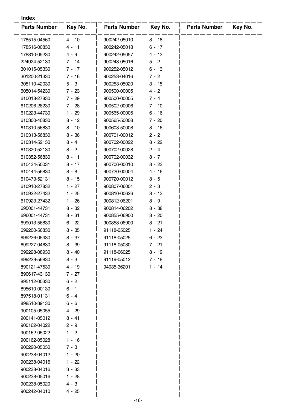#### **Index**

| <b>Parts Number</b> | Key No.  | <b>Parts Number</b> | Key No.  | <b>Parts Number</b> | Key No. |
|---------------------|----------|---------------------|----------|---------------------|---------|
| 178515-04560        | $4 - 10$ | 900242-05010        | $8 - 18$ |                     |         |
| 178516-00830        | $4 - 11$ | 900242-05018        | $6 - 17$ |                     |         |
| 178810-05230        | 4 - 9    | 900242-05057        | 4 - 13   |                     |         |
| 224924-52130        | 7 - 14   | 900243-05016        | $5 - 2$  |                     |         |
| 301015-05330        | $7 - 17$ | 900252-05012        | $6 - 13$ |                     |         |
| 301200-21330        | $7 - 16$ | 900253-04016        | $7 - 2$  |                     |         |
| 305110-42030        | $5 - 3$  | 900253-05020        | $3 - 15$ |                     |         |
| 605014-54230        | 7 - 23   | 900500-00005        | $4 - 2$  |                     |         |
| 610018-27830        | 7 - 29   | 900500-00005        | $7 - 4$  |                     |         |
| 610206-28230        | 7 - 28   | 900502-00006        | $7 - 10$ |                     |         |
| 610223-44730        | $1 - 29$ | 900565-00005        | $6 - 16$ |                     |         |
| 610300-40830        | 8 - 12   | 900565-50008        | $7 - 20$ |                     |         |
| 610310-56830        | $8 - 10$ | 900603-50008        | $8 - 16$ |                     |         |
| 610313-56830        | $8 - 36$ | 900701-00012        | $2 - 2$  |                     |         |
| 610314-52130        | $8 - 4$  | 900702-00022        | $8 - 22$ |                     |         |
| 610320-52130        | $8 - 2$  | 900702-00028        | $2 - 4$  |                     |         |
| 610352-56830        | $8 - 11$ | 900702-00032        | $8 - 7$  |                     |         |
| 610434-50031        | 8 - 17   | 900706-00010        | $8 - 23$ |                     |         |
| 610444-56830        | $8 - 8$  | 900720-00004        | $4 - 16$ |                     |         |
| 610473-52131        | $8 - 15$ | 900720-00012        | $8 - 5$  |                     |         |
| 610910-27832        | $1 - 27$ | 900807-06001        | $2 - 3$  |                     |         |
| 610922-27432        | $1 - 25$ | 900810-00626        | $8 - 13$ |                     |         |
| 610923-27432        | $1 - 26$ | 900812-06201        | $8 - 9$  |                     |         |
| 695001-44731        | $8 - 32$ | 900814-06202        | $8 - 38$ |                     |         |
| 696001-44731        | $8 - 31$ | 900855-06900        | $8 - 20$ |                     |         |
| 699013-56830        | $6 - 22$ | 900858-06900        | 8 - 21   |                     |         |
| 699200-56830        | $8 - 35$ | 91118-05025         | $1 - 24$ |                     |         |
| 699226-05430        | 8 - 37   | 91118-05025         | $6 - 23$ |                     |         |
| 699227-04630        | $8 - 39$ | 91118-05030         | 7 - 21   |                     |         |
| 699228-08930        | $8 - 40$ | 91118-06025         | $8 - 19$ |                     |         |
| 699229-56830        | $8 - 3$  | 91119-05012         | $7 - 18$ |                     |         |
| 890121-47530        | 4 - 19   | 94035-36201         | 1 - 14   |                     |         |
| 890617-43130        | $7 - 27$ |                     |          |                     |         |
| 895112-00330        | $6 - 2$  |                     |          |                     |         |
| 895610-00130        | $6 - 1$  |                     |          |                     |         |
| 897518-01131        | $6 - 4$  |                     |          |                     |         |
| 898510-39130        | $6 - 6$  |                     |          |                     |         |
| 900105-05055        | $4 - 29$ |                     |          |                     |         |
| 900141-05012        | $8 - 41$ |                     |          |                     |         |
| 900162-04022        | $2 - 9$  |                     |          |                     |         |
| 900162-05022        | $1 - 2$  |                     |          |                     |         |
| 900162-05028        | $1 - 16$ |                     |          |                     |         |
| 900220-05030        | $7 - 3$  |                     |          |                     |         |
| 900238-04012        | $1 - 20$ |                     |          |                     |         |
| 900238-04016        | 1 - 22   |                     |          |                     |         |
| 900238-04016        | $3 - 33$ |                     |          |                     |         |
| 900238-05016        | $1 - 28$ |                     |          |                     |         |
| 900238-05020        | 4 - 3    |                     |          |                     |         |
| 900242-04010        | 4 - 25   |                     |          |                     |         |